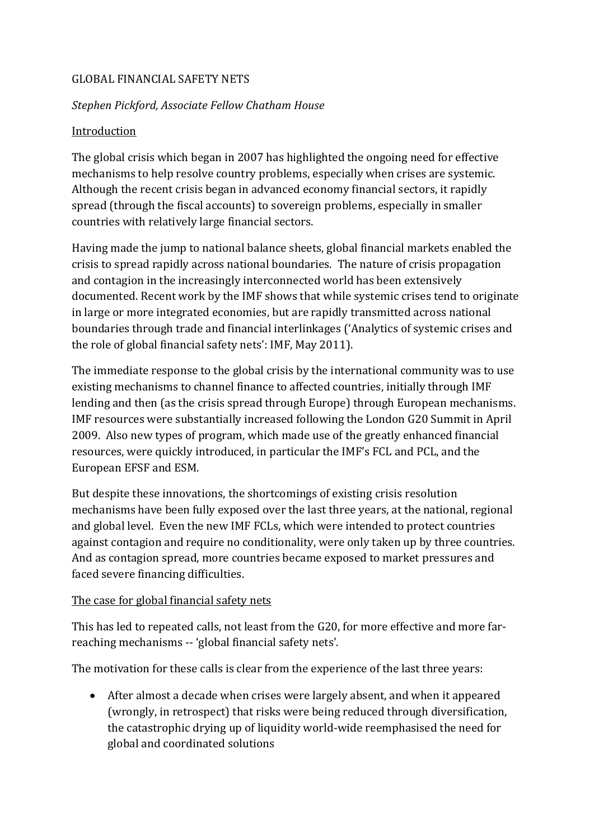### GLOBAL FINANCIAL SAFETY NETS

### *Stephen Pickford, Associate Fellow Chatham House*

### Introduction

The global crisis which began in 2007 has highlighted the ongoing need for effective mechanisms to help resolve country problems, especially when crises are systemic. Although the recent crisis began in advanced economy financial sectors, it rapidly spread (through the fiscal accounts) to sovereign problems, especially in smaller countries with relatively large financial sectors.

Having made the jump to national balance sheets, global financial markets enabled the crisis to spread rapidly across national boundaries. The nature of crisis propagation and contagion in the increasingly interconnected world has been extensively documented. Recent work by the IMF shows that while systemic crises tend to originate in large or more integrated economies, but are rapidly transmitted across national boundaries through trade and financial interlinkages ('Analytics of systemic crises and the role of global financial safety nets': IMF, May 2011).

The immediate response to the global crisis by the international community was to use existing mechanisms to channel finance to affected countries, initially through IMF lending and then (as the crisis spread through Europe) through European mechanisms. IMF resources were substantially increased following the London G20 Summit in April 2009. Also new types of program, which made use of the greatly enhanced financial resources, were quickly introduced, in particular the IMF's FCL and PCL, and the European EFSF and ESM.

But despite these innovations, the shortcomings of existing crisis resolution mechanisms have been fully exposed over the last three years, at the national, regional and global level. Even the new IMF FCLs, which were intended to protect countries against contagion and require no conditionality, were only taken up by three countries. And as contagion spread, more countries became exposed to market pressures and faced severe financing difficulties.

#### The case for global financial safety nets

This has led to repeated calls, not least from the G20, for more effective and more farreaching mechanisms -- 'global financial safety nets'.

The motivation for these calls is clear from the experience of the last three years:

 After almost a decade when crises were largely absent, and when it appeared (wrongly, in retrospect) that risks were being reduced through diversification, the catastrophic drying up of liquidity world-wide reemphasised the need for global and coordinated solutions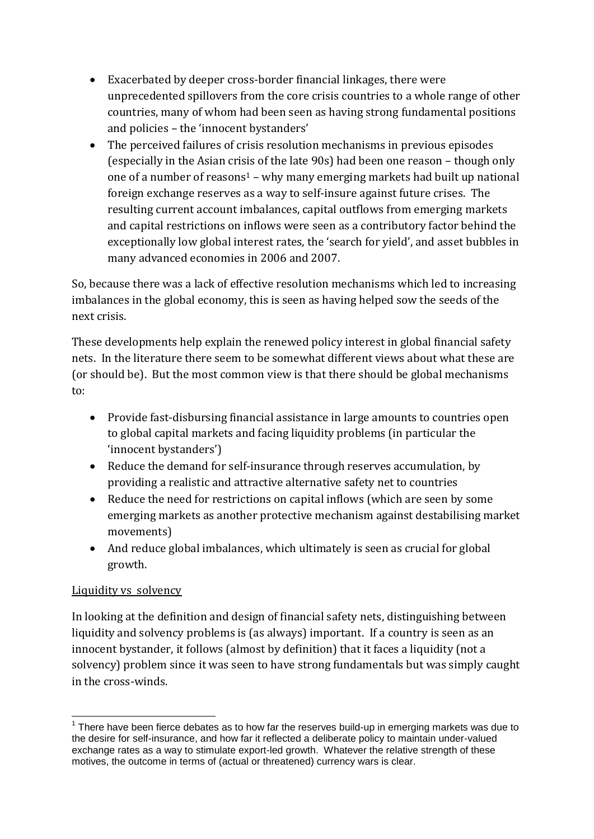- Exacerbated by deeper cross-border financial linkages, there were unprecedented spillovers from the core crisis countries to a whole range of other countries, many of whom had been seen as having strong fundamental positions and policies – the 'innocent bystanders'
- The perceived failures of crisis resolution mechanisms in previous episodes (especially in the Asian crisis of the late 90s) had been one reason – though only one of a number of reasons<sup>1</sup> – why many emerging markets had built up national foreign exchange reserves as a way to self-insure against future crises. The resulting current account imbalances, capital outflows from emerging markets and capital restrictions on inflows were seen as a contributory factor behind the exceptionally low global interest rates, the 'search for yield', and asset bubbles in many advanced economies in 2006 and 2007.

So, because there was a lack of effective resolution mechanisms which led to increasing imbalances in the global economy, this is seen as having helped sow the seeds of the next crisis.

These developments help explain the renewed policy interest in global financial safety nets. In the literature there seem to be somewhat different views about what these are (or should be). But the most common view is that there should be global mechanisms to:

- Provide fast-disbursing financial assistance in large amounts to countries open to global capital markets and facing liquidity problems (in particular the 'innocent bystanders')
- Reduce the demand for self-insurance through reserves accumulation, by providing a realistic and attractive alternative safety net to countries
- Reduce the need for restrictions on capital inflows (which are seen by some emerging markets as another protective mechanism against destabilising market movements)
- And reduce global imbalances, which ultimately is seen as crucial for global growth.

# Liquidity vs solvency

In looking at the definition and design of financial safety nets, distinguishing between liquidity and solvency problems is (as always) important. If a country is seen as an innocent bystander, it follows (almost by definition) that it faces a liquidity (not a solvency) problem since it was seen to have strong fundamentals but was simply caught in the cross-winds.

<sup>1</sup>  $1$  There have been fierce debates as to how far the reserves build-up in emerging markets was due to the desire for self-insurance, and how far it reflected a deliberate policy to maintain under-valued exchange rates as a way to stimulate export-led growth. Whatever the relative strength of these motives, the outcome in terms of (actual or threatened) currency wars is clear.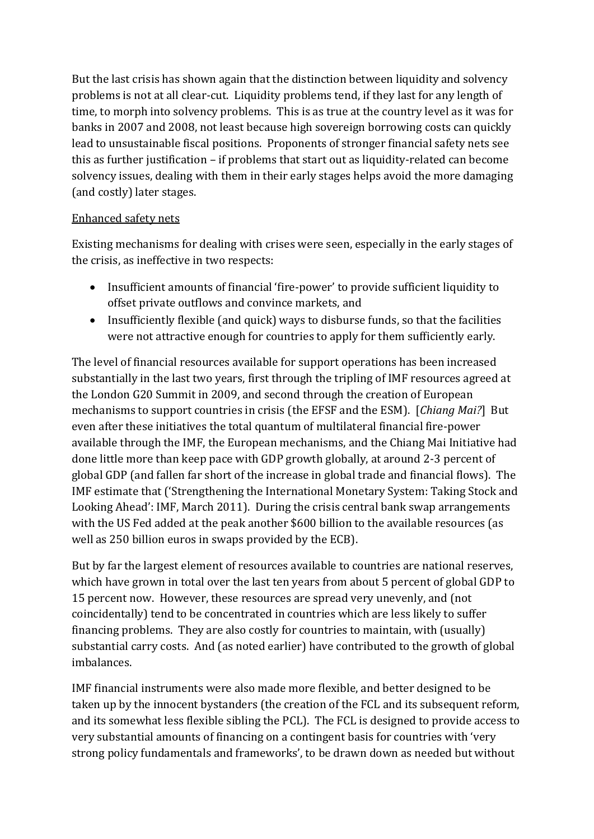But the last crisis has shown again that the distinction between liquidity and solvency problems is not at all clear-cut. Liquidity problems tend, if they last for any length of time, to morph into solvency problems. This is as true at the country level as it was for banks in 2007 and 2008, not least because high sovereign borrowing costs can quickly lead to unsustainable fiscal positions. Proponents of stronger financial safety nets see this as further justification – if problems that start out as liquidity-related can become solvency issues, dealing with them in their early stages helps avoid the more damaging (and costly) later stages.

# Enhanced safety nets

Existing mechanisms for dealing with crises were seen, especially in the early stages of the crisis, as ineffective in two respects:

- Insufficient amounts of financial 'fire-power' to provide sufficient liquidity to offset private outflows and convince markets, and
- Insufficiently flexible (and quick) ways to disburse funds, so that the facilities were not attractive enough for countries to apply for them sufficiently early.

The level of financial resources available for support operations has been increased substantially in the last two years, first through the tripling of IMF resources agreed at the London G20 Summit in 2009, and second through the creation of European mechanisms to support countries in crisis (the EFSF and the ESM). [*Chiang Mai?*] But even after these initiatives the total quantum of multilateral financial fire-power available through the IMF, the European mechanisms, and the Chiang Mai Initiative had done little more than keep pace with GDP growth globally, at around 2-3 percent of global GDP (and fallen far short of the increase in global trade and financial flows). The IMF estimate that ('Strengthening the International Monetary System: Taking Stock and Looking Ahead': IMF, March 2011). During the crisis central bank swap arrangements with the US Fed added at the peak another \$600 billion to the available resources (as well as 250 billion euros in swaps provided by the ECB).

But by far the largest element of resources available to countries are national reserves, which have grown in total over the last ten years from about 5 percent of global GDP to 15 percent now. However, these resources are spread very unevenly, and (not coincidentally) tend to be concentrated in countries which are less likely to suffer financing problems. They are also costly for countries to maintain, with (usually) substantial carry costs. And (as noted earlier) have contributed to the growth of global imbalances.

IMF financial instruments were also made more flexible, and better designed to be taken up by the innocent bystanders (the creation of the FCL and its subsequent reform, and its somewhat less flexible sibling the PCL). The FCL is designed to provide access to very substantial amounts of financing on a contingent basis for countries with 'very strong policy fundamentals and frameworks', to be drawn down as needed but without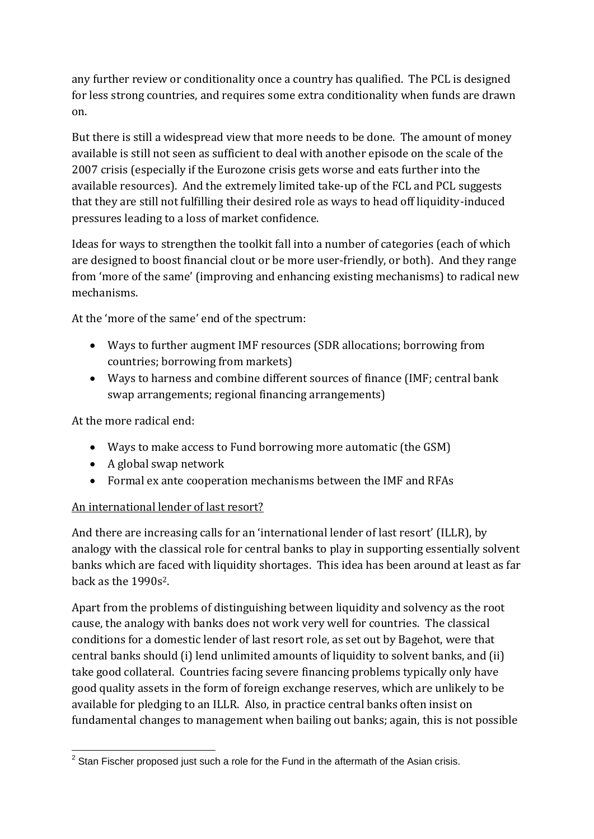any further review or conditionality once a country has qualified. The PCL is designed for less strong countries, and requires some extra conditionality when funds are drawn on.

But there is still a widespread view that more needs to be done. The amount of money available is still not seen as sufficient to deal with another episode on the scale of the 2007 crisis (especially if the Eurozone crisis gets worse and eats further into the available resources). And the extremely limited take-up of the FCL and PCL suggests that they are still not fulfilling their desired role as ways to head off liquidity-induced pressures leading to a loss of market confidence.

Ideas for ways to strengthen the toolkit fall into a number of categories (each of which are designed to boost financial clout or be more user-friendly, or both). And they range from 'more of the same' (improving and enhancing existing mechanisms) to radical new mechanisms.

At the 'more of the same' end of the spectrum:

- Ways to further augment IMF resources (SDR allocations; borrowing from countries; borrowing from markets)
- Ways to harness and combine different sources of finance (IMF; central bank swap arrangements; regional financing arrangements)

At the more radical end:

- Ways to make access to Fund borrowing more automatic (the GSM)
- A global swap network
- Formal ex ante cooperation mechanisms between the IMF and RFAs

# An international lender of last resort?

And there are increasing calls for an 'international lender of last resort' (ILLR), by analogy with the classical role for central banks to play in supporting essentially solvent banks which are faced with liquidity shortages. This idea has been around at least as far back as the 1990s<sup>2</sup>.

Apart from the problems of distinguishing between liquidity and solvency as the root cause, the analogy with banks does not work very well for countries. The classical conditions for a domestic lender of last resort role, as set out by Bagehot, were that central banks should (i) lend unlimited amounts of liquidity to solvent banks, and (ii) take good collateral. Countries facing severe financing problems typically only have good quality assets in the form of foreign exchange reserves, which are unlikely to be available for pledging to an ILLR. Also, in practice central banks often insist on fundamental changes to management when bailing out banks; again, this is not possible

 2 Stan Fischer proposed just such a role for the Fund in the aftermath of the Asian crisis.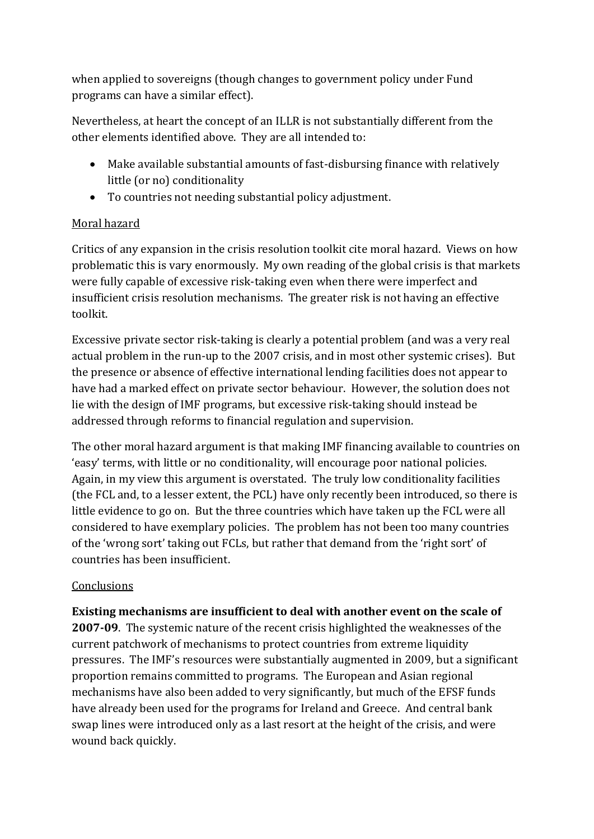when applied to sovereigns (though changes to government policy under Fund programs can have a similar effect).

Nevertheless, at heart the concept of an ILLR is not substantially different from the other elements identified above. They are all intended to:

- Make available substantial amounts of fast-disbursing finance with relatively little (or no) conditionality
- To countries not needing substantial policy adjustment.

# Moral hazard

Critics of any expansion in the crisis resolution toolkit cite moral hazard. Views on how problematic this is vary enormously. My own reading of the global crisis is that markets were fully capable of excessive risk-taking even when there were imperfect and insufficient crisis resolution mechanisms. The greater risk is not having an effective toolkit.

Excessive private sector risk-taking is clearly a potential problem (and was a very real actual problem in the run-up to the 2007 crisis, and in most other systemic crises). But the presence or absence of effective international lending facilities does not appear to have had a marked effect on private sector behaviour. However, the solution does not lie with the design of IMF programs, but excessive risk-taking should instead be addressed through reforms to financial regulation and supervision.

The other moral hazard argument is that making IMF financing available to countries on 'easy' terms, with little or no conditionality, will encourage poor national policies. Again, in my view this argument is overstated. The truly low conditionality facilities (the FCL and, to a lesser extent, the PCL) have only recently been introduced, so there is little evidence to go on. But the three countries which have taken up the FCL were all considered to have exemplary policies. The problem has not been too many countries of the 'wrong sort' taking out FCLs, but rather that demand from the 'right sort' of countries has been insufficient.

# **Conclusions**

**Existing mechanisms are insufficient to deal with another event on the scale of** 

**2007-09**. The systemic nature of the recent crisis highlighted the weaknesses of the current patchwork of mechanisms to protect countries from extreme liquidity pressures. The IMF's resources were substantially augmented in 2009, but a significant proportion remains committed to programs. The European and Asian regional mechanisms have also been added to very significantly, but much of the EFSF funds have already been used for the programs for Ireland and Greece. And central bank swap lines were introduced only as a last resort at the height of the crisis, and were wound back quickly.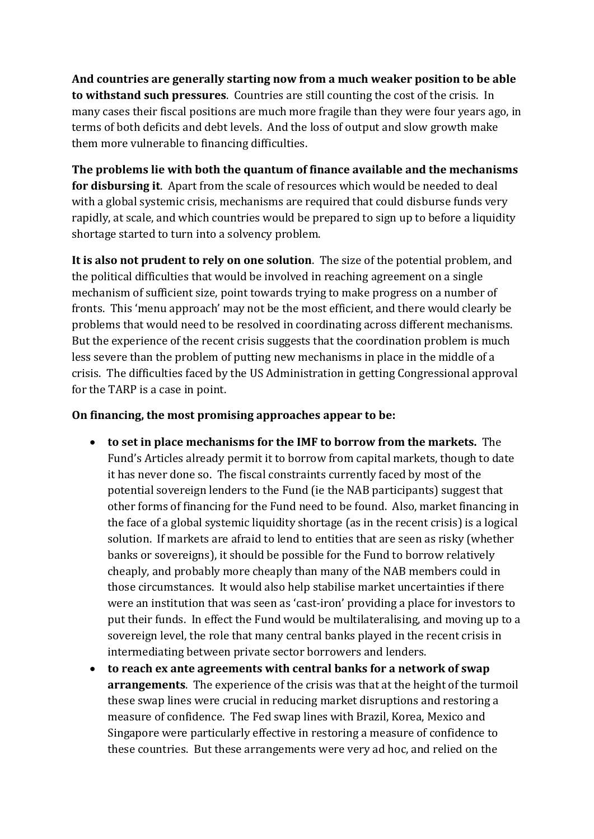**And countries are generally starting now from a much weaker position to be able to withstand such pressures**. Countries are still counting the cost of the crisis. In many cases their fiscal positions are much more fragile than they were four years ago, in terms of both deficits and debt levels. And the loss of output and slow growth make them more vulnerable to financing difficulties.

**The problems lie with both the quantum of finance available and the mechanisms for disbursing it**. Apart from the scale of resources which would be needed to deal with a global systemic crisis, mechanisms are required that could disburse funds very rapidly, at scale, and which countries would be prepared to sign up to before a liquidity shortage started to turn into a solvency problem.

**It is also not prudent to rely on one solution**. The size of the potential problem, and the political difficulties that would be involved in reaching agreement on a single mechanism of sufficient size, point towards trying to make progress on a number of fronts. This 'menu approach' may not be the most efficient, and there would clearly be problems that would need to be resolved in coordinating across different mechanisms. But the experience of the recent crisis suggests that the coordination problem is much less severe than the problem of putting new mechanisms in place in the middle of a crisis. The difficulties faced by the US Administration in getting Congressional approval for the TARP is a case in point.

### **On financing, the most promising approaches appear to be:**

- **to set in place mechanisms for the IMF to borrow from the markets.** The Fund's Articles already permit it to borrow from capital markets, though to date it has never done so. The fiscal constraints currently faced by most of the potential sovereign lenders to the Fund (ie the NAB participants) suggest that other forms of financing for the Fund need to be found. Also, market financing in the face of a global systemic liquidity shortage (as in the recent crisis) is a logical solution. If markets are afraid to lend to entities that are seen as risky (whether banks or sovereigns), it should be possible for the Fund to borrow relatively cheaply, and probably more cheaply than many of the NAB members could in those circumstances. It would also help stabilise market uncertainties if there were an institution that was seen as 'cast-iron' providing a place for investors to put their funds. In effect the Fund would be multilateralising, and moving up to a sovereign level, the role that many central banks played in the recent crisis in intermediating between private sector borrowers and lenders.
- **to reach ex ante agreements with central banks for a network of swap arrangements**. The experience of the crisis was that at the height of the turmoil these swap lines were crucial in reducing market disruptions and restoring a measure of confidence. The Fed swap lines with Brazil, Korea, Mexico and Singapore were particularly effective in restoring a measure of confidence to these countries. But these arrangements were very ad hoc, and relied on the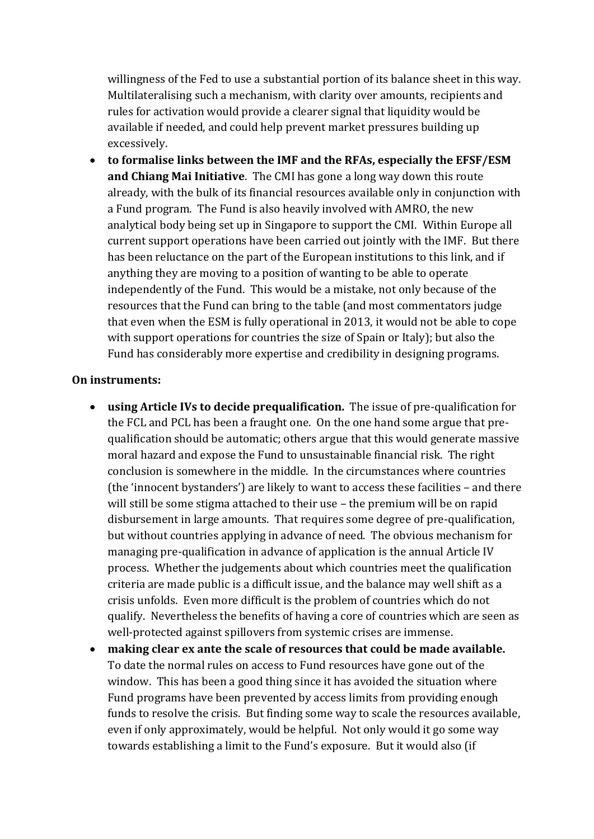willingness of the Fed to use a substantial portion of its balance sheet in this way. Multilateralising such a mechanism, with clarity over amounts, recipients and rules for activation would provide a clearer signal that liquidity would be available if needed, and could help prevent market pressures building up excessively.

 **to formalise links between the IMF and the RFAs, especially the EFSF/ESM and Chiang Mai Initiative**. The CMI has gone a long way down this route already, with the bulk of its financial resources available only in conjunction with a Fund program. The Fund is also heavily involved with AMRO, the new analytical body being set up in Singapore to support the CMI. Within Europe all current support operations have been carried out jointly with the IMF. But there has been reluctance on the part of the European institutions to this link, and if anything they are moving to a position of wanting to be able to operate independently of the Fund. This would be a mistake, not only because of the resources that the Fund can bring to the table (and most commentators judge that even when the ESM is fully operational in 2013, it would not be able to cope with support operations for countries the size of Spain or Italy); but also the Fund has considerably more expertise and credibility in designing programs.

#### **On instruments:**

- **using Article IVs to decide prequalification.** The issue of pre-qualification for the FCL and PCL has been a fraught one. On the one hand some argue that prequalification should be automatic; others argue that this would generate massive moral hazard and expose the Fund to unsustainable financial risk. The right conclusion is somewhere in the middle. In the circumstances where countries (the 'innocent bystanders') are likely to want to access these facilities – and there will still be some stigma attached to their use – the premium will be on rapid disbursement in large amounts. That requires some degree of pre-qualification, but without countries applying in advance of need. The obvious mechanism for managing pre-qualification in advance of application is the annual Article IV process. Whether the judgements about which countries meet the qualification criteria are made public is a difficult issue, and the balance may well shift as a crisis unfolds. Even more difficult is the problem of countries which do not qualify. Nevertheless the benefits of having a core of countries which are seen as well-protected against spillovers from systemic crises are immense.
- **making clear ex ante the scale of resources that could be made available.** To date the normal rules on access to Fund resources have gone out of the window. This has been a good thing since it has avoided the situation where Fund programs have been prevented by access limits from providing enough funds to resolve the crisis. But finding some way to scale the resources available, even if only approximately, would be helpful. Not only would it go some way towards establishing a limit to the Fund's exposure. But it would also (if